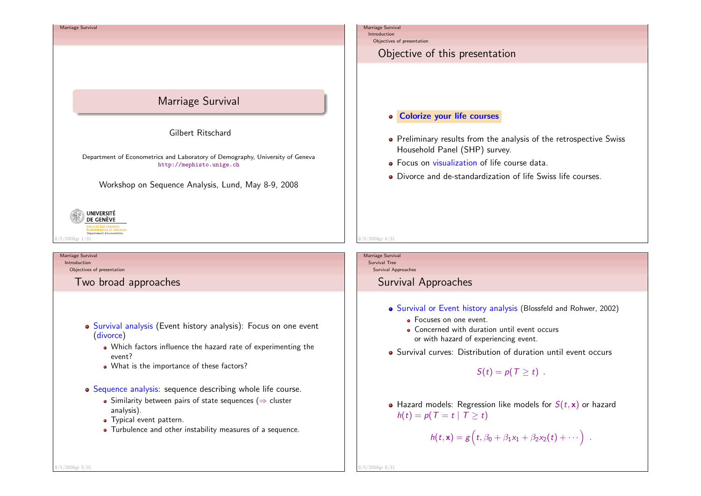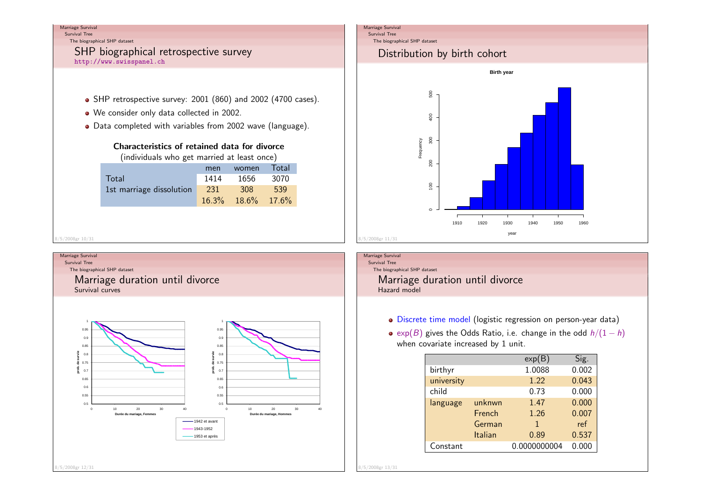Survival TreeThe biographical SHP dataset

# SHP biographical retrospective survey

http://www.swisspanel.ch

- SHP retrospective survey: 2001 (860) and 2002 (4700 cases).
- We consider only data collected in 2002.
- Data completed with variables from 2002 wave (language).

# Characteristics of retained data for divorce

(individuals who get married at least once)

|                          | men        | women             | Total |
|--------------------------|------------|-------------------|-------|
| Total                    | 1414       | 1656              | 3070  |
| 1st marriage dissolution | <b>231</b> | <b>308</b>        | 539   |
|                          |            | 16.3% 18.6% 17.6% |       |
|                          |            |                   |       |

8/5/2008gr 10/31

#### Marriage Survival

Survival TreeThe biographical SHP dataset

> Marriage duration until divorceSurvival curves



### Marriage Survival

Survival Tree

#### The biographical SHP dataset

# Distribution by birth cohort



Marriage SurvivalSurvival Tree The biographical SHP datasetMarriage duration until divorceHazard model

- Discrete time model (logistic regression on person-year data)
- exp $(B)$  gives the Odds Ratio, i.e. change in the odd  $h/(1-h)$ when covariate increased by 1 unit.

|            |         | exp(B)       | Sig.  |
|------------|---------|--------------|-------|
| birthyr    |         | 1.0088       | 0.002 |
| university |         | 1.22         | 0.043 |
| child      |         | 0.73         | 0.000 |
| language   | unknwn  | 1.47         | 0.000 |
|            | French  | 1.26         | 0.007 |
|            | German  | 1            | ref   |
|            | Italian | 0.89         | 0.537 |
| Constant   |         | 0.0000000004 | 0.000 |

8/5/2008gr 13/31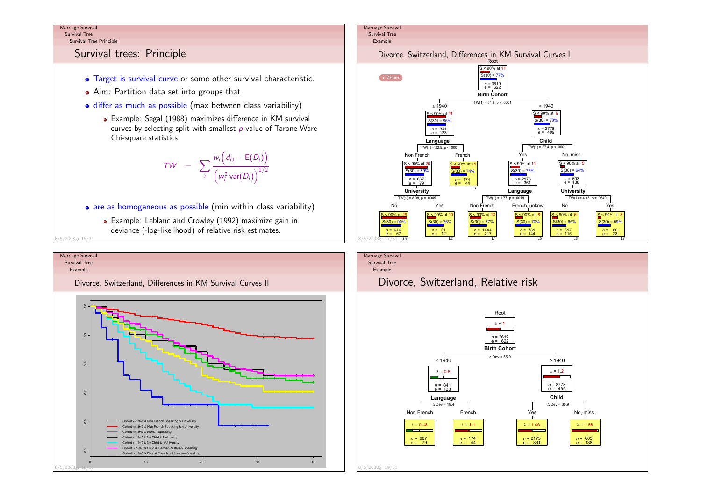Survival TreeSurvival Tree Principle

# Survival trees: Principle

- Target is survival curve or some other survival characteristic.
- Aim: Partition data set into groups that
- differ as much as possible (max between class variability)
	- Example: Segal (1988) maximizes difference in KM survival curves by selecting split with smallest  $\rho$ -value of Tarone-Ware Chi-square statistics

$$
TW = \sum_{i} \frac{w_i (d_{i1} - E(D_i))}{(w_i^2 \text{var}(D_i))^{1/2}}
$$

- are as homogeneous as possible (min within class variability)
	- Example: Leblanc and Crowley (1992) maximize gain indeviance (-log-likelihood) of relative risk estimates.

8/5/2008gr 15/31





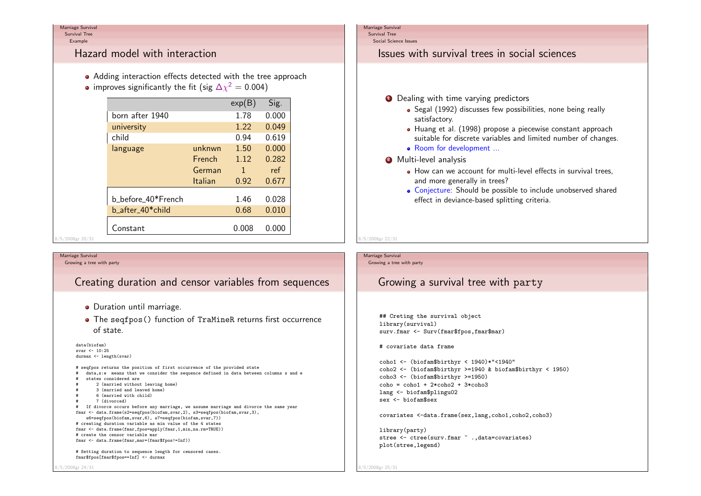Survival TreeExample

# Hazard model with interaction

- Adding interaction effects detected with the tree approach
- improves significantly the fit (sig  $\Delta\chi^2=0.004)$

|         |                    |         | exp(B) | Sig.  |
|---------|--------------------|---------|--------|-------|
|         | born after 1940    |         | 1.78   | 0.000 |
|         | university         |         | 1.22   | 0.049 |
|         | child              |         | 0.94   | 0.619 |
|         | language           | unknwn  | 1.50   | 0.000 |
|         |                    | French  | 1.12   | 0.282 |
|         |                    | German  | 1      | ref   |
|         |                    | Italian | 0.92   | 0.677 |
|         | b_before_40*French |         | 1.46   | 0.028 |
|         | b_after_40*child   |         | 0.68   | 0.010 |
|         | Constant           |         | 0.008  | 0.000 |
| r 20/31 |                    |         |        |       |

#### Marriage SurvivalGrowing a tree with party

8/5/2008gr 24/31

 $3/5/2008$ 

# Creating duration and censor variables from sequences

- **·** Duration until marriage.
- The seqfpos() function of TraMineR returns first occurrence of state.

data(biofam) svar <- 10:25 durmax <- length(svar)# seqfpos returns the position of first occurrence of the provided state # data,s:e means that we consider the sequence defined in data between columns s and e# states considered are # 2 (married without leaving home)3 (married and leaved home) 6 (married with child) 7 (divorced) # If divorce occurs before any marriage, we assume marriage and divorce the same yearfmar <- data.frame(s2=seqfpos(biofam,svar,2), s3=seqfpos(biofam,svar,3),s6=seqfpos(biofam,svar,6), s7=seqfpos(biofam,svar,7)) # creating duration variable as min value of the 4 states fmar <- data.frame(fmar,fpos=apply(fmar,1,min,na.rm=TRUE))# create the censor variable marfmar <- data.frame(fmar,mar=(fmar\$fpos!=Inf))

# Setting duration to sequence length for censored cases.fmar\$fpos[fmar\$fpos==Inf] <- durmax

#### Marriage Survival

Survival TreeSocial Science Issues

# Issues with survival trees in social sciences

- **1** Dealing with time varying predictors
	- Segal (1992) discusses few possibilities, none being reallysatisfactory.
	- Huang et al. (1998) propose a piecewise constant approach suitable for discrete variables and limited number of changes.• Room for development ...
- 2 Multi-level analysis
	- How can we account for multi-level effects in survival trees, and more generally in trees?
	- Conjecture: Should be possible to include unobserved sharedeffect in deviance-based splitting criteria.

# 8/5/2008gr 22/31

Marriage SurvivalGrowing a tree with party

# Growing a survival tree with party

## Creting the survival objectlibrary(survival)surv.fmar <- Surv(fmar\$fpos,fmar\$mar)

# covariate data frame

coho1 <- (biofam\$birthyr < 1940)\*"<1940" coho2 <- (biofam\$birthyr >=1940 & biofam\$birthyr < 1950)coho3 <- (biofam\$birthyr >=1950) coho = coho1 + 2\*coho2 + 3\*coho3lang  $\leq$  biofam\$plingu02 sex <- biofam\$sex

covariates <-data.frame(sex,lang,coho1,coho2,coho3)

library(party) stree <- ctree(surv.fmar ~ .,data=covariates)plot(stree,legend)

8/5/2008gr 25/31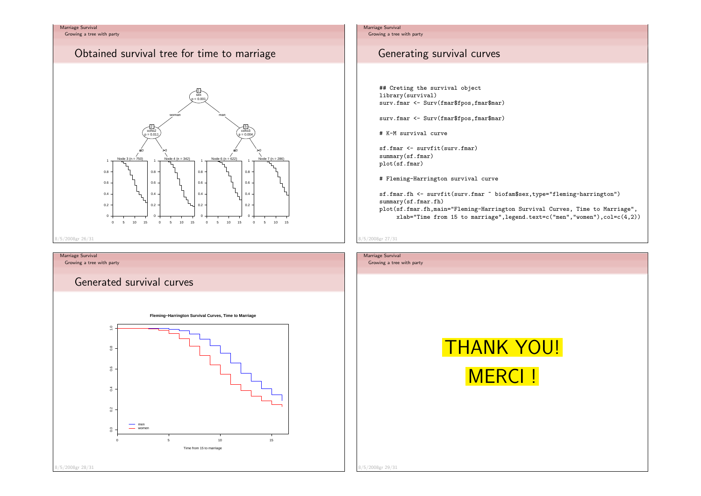Growing a tree with party

# Obtained survival tree for time to marriage



### Growing a tree with party

Generated survival curves





# Marriage Survival

Growing a tree with party

# Generating survival curves

## Creting the survival objectlibrary(survival)surv.fmar <- Surv(fmar\$fpos,fmar\$mar)

surv.fmar <- Surv(fmar\$fpos,fmar\$mar)

# K-M survival curve

sf.fmar <- survfit(surv.fmar)summary(sf.fmar)plot(sf.fmar)

# Fleming-Harrington survival curve

sf.fmar.fh <- survfit(surv.fmar ~ biofam\$sex,type="fleming-harrington")summary(sf.fmar.fh) plot(sf.fmar.fh,main="Fleming-Harrington Survival Curves, Time to Marriage",xlab="Time from 15 to marriage",legend.text=c("men","women"),col=c(4,2))

#### 8/5/2008gr 27/31